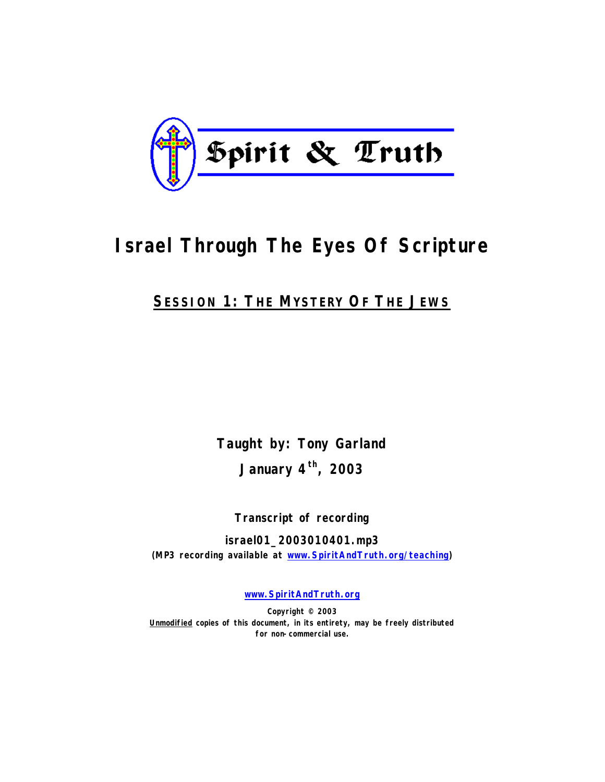

# **Israel Through The Eyes Of Scripture**

# **SESSION 1: THE MYSTERY OF THE JEWS**

**Taught by: Tony Garland January 4th, 2003**

**Transcript of recording**

**israel01\_2003010401.mp3 (MP3 recording available at www.SpiritAndTruth.org/teaching)**

**www.SpiritAndTruth.org**

**Copyright © 2003 Unmodified copies of this document, in its entirety, may be freely distributed for non-commercial use.**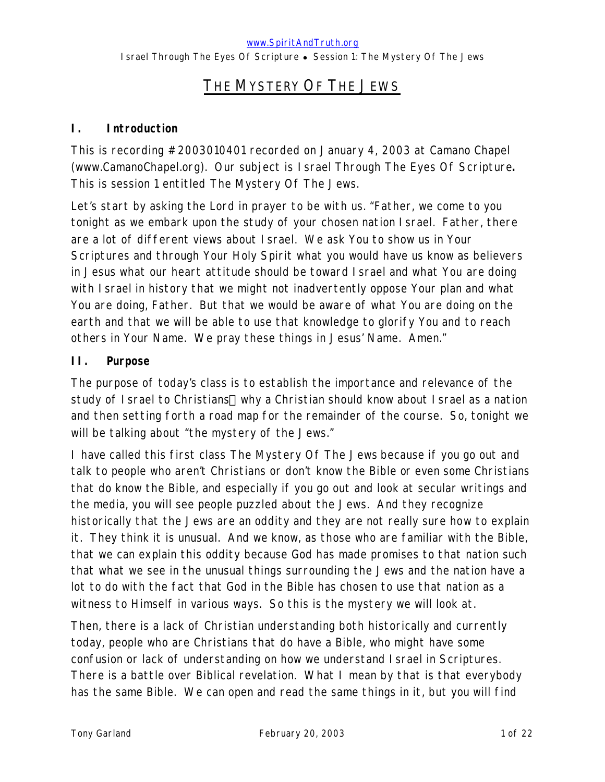# THE MYSTERY OF THE JEWS

### **I. Introduction**

This is recording #2003010401 recorded on January 4, 2003 at Camano Chapel (www.CamanoChapel.org). Our subject is *Israel Through The Eyes Of Scripture***.**  This is session 1 entitled *The Mystery Of The Jews.*

Let's start by asking the Lord in prayer to be with us. "Father, we come to you tonight as we embark upon the study of your chosen nation Israel. Father, there are a lot of different views about Israel. We ask You to show us in Your Scriptures and through Your Holy Spirit what you would have us know as believers in Jesus what our heart attitude should be toward Israel and what You are doing with Israel in history that we might not inadvertently oppose Your plan and what You are doing, Father. But that we would be aware of what You are doing on the earth and that we will be able to use that knowledge to glorify You and to reach others in Your Name. We pray these things in Jesus' Name. Amen."

### **II. Purpose**

The purpose of today's class is to establish the importance and relevance of the study of Israel to Christians—why a Christian should know about Israel as a nation and then setting forth a road map for the remainder of the course. So, tonight we will be talking about "the mystery of the Jews."

I have called this first class *The Mystery Of The Jews* because if you go out and talk to people who aren't Christians or don't know the Bible or even some Christians that do know the Bible, and especially if you go out and look at secular writings and the media, you will see people puzzled about the Jews. And they recognize historically that the Jews are an oddity and they are not really sure how to explain it. They think it is unusual. And we know, as those who are familiar with the Bible, that we can explain this oddity because God has made promises to that nation such that what we see in the unusual things surrounding the Jews and the nation have a lot to do with the fact that God in the Bible has chosen to use that nation as a witness to Himself in various ways. So this is the mystery we will look at.

Then, there is a lack of Christian understanding both historically and currently today, people who are Christians that do have a Bible, who might have some confusion or lack of understanding on how we understand Israel in Scriptures. There is a battle over Biblical revelation. What I mean by that is that everybody has the same Bible. We can open and read the same things in it, but you will find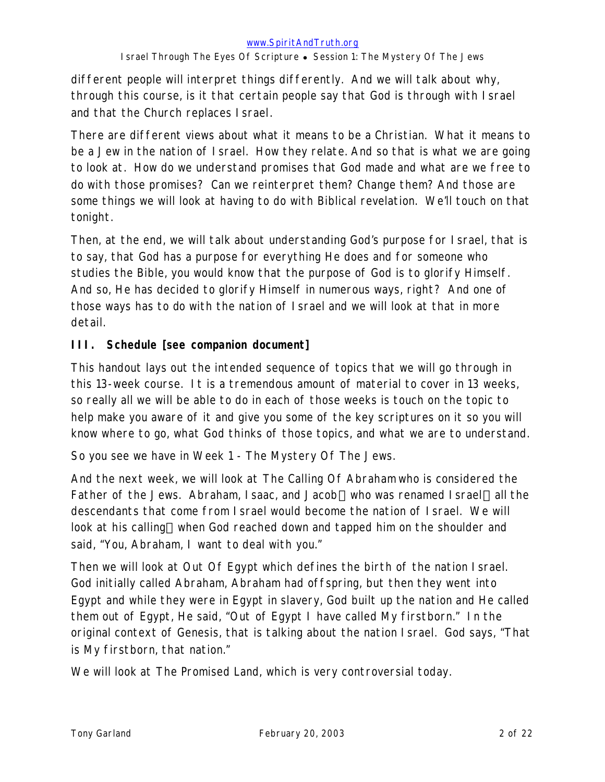different people will interpret things differently. And we will talk about why, through this course, is it that certain people say that God is through with Israel and that the Church replaces Israel.

There are different views about what it means to be a Christian. What it means to be a Jew in the nation of Israel. How they relate. And so that is what we are going to look at. How do we understand promises that God made and what are we free to do with those promises? Can we reinterpret them? Change them? And those are some things we will look at having to do with Biblical revelation. We'll touch on that tonight.

Then, at the end, we will talk about understanding God's purpose for Israel, that is to say, that God has a purpose for everything He does and for someone who studies the Bible, you would know that the purpose of God is to glorify Himself. And so, He has decided to glorify Himself in numerous ways, right? And one of those ways has to do with the nation of Israel and we will look at that in more detail.

### **III. Schedule [see companion document]**

This handout lays out the intended sequence of topics that we will go through in this 13-week course. It is a tremendous amount of material to cover in 13 weeks, so really all we will be able to do in each of those weeks is touch on the topic to help make you aware of it and give you some of the key scriptures on it so you will know where to go, what God thinks of those topics, and what we are to understand.

So you see we have in Week 1 - *The Mystery Of The Jews.* 

And the next week, we will look at *The Calling Of Abraham* who is considered the Father of the Jews. Abraham, Isaac, and Jacob—who was renamed Israel—all the descendants that come from Israel would become the nation of Israel. We will look at his calling—when God reached down and tapped him on the shoulder and said, "You, Abraham, I want to deal with you."

Then we will look at *Out Of Egypt* which defines the birth of the nation Israel. God initially called Abraham, Abraham had offspring, but then they went into Egypt and while they were in Egypt in slavery, God built up the nation and He called them out of Egypt, He said, "Out of Egypt I have called My firstborn." In the original context of Genesis, that is talking about the nation Israel. God says, "That is My firstborn, that nation."

We will look at *The Promised Land*, which is very controversial today.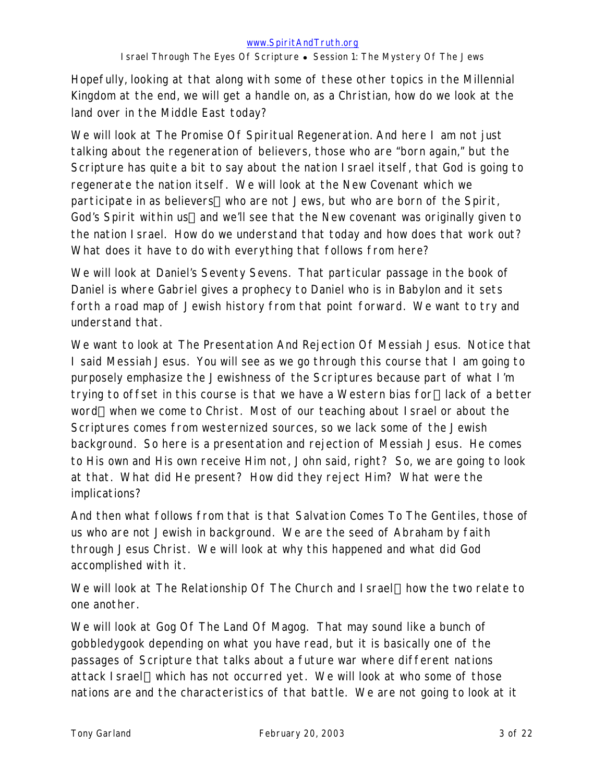Hopefully, looking at that along with some of these other topics in the Millennial Kingdom at the end, we will get a handle on, as a Christian, how do we look at the land over in the Middle East today?

We will look at *The Promise Of Spiritual Regeneration*. And here I am not just talking about the regeneration of believers, those who are "born again," but the Scripture has quite a bit to say about the nation Israel itself, that God is going to regenerate the nation itself. We will look at the New Covenant which we participate in as believers—who are not Jews, but who are born of the Spirit, God's Spirit within us—and we'll see that the New covenant was originally given to the nation Israel. How do we understand that today and how does that work out? What does it have to do with everything that follows from here?

We will look at *Daniel's Seventy Sevens.* That particular passage in the book of Daniel is where Gabriel gives a prophecy to Daniel who is in Babylon and it sets forth a road map of Jewish history from that point forward. We want to try and understand that.

We want to look at *The Presentation And Rejection Of Messiah Jesus*. Notice that I said *Messiah* Jesus. You will see as we go through this course that I am going to purposely emphasize the Jewishness of the Scriptures because part of what I'm trying to offset in this course is that we have a Western bias for—lack of a better word—when we come to Christ. Most of our teaching about Israel or about the Scriptures comes from westernized sources, so we lack some of the Jewish background. So here is a presentation and rejection of Messiah Jesus. He comes to His own and His own receive Him not, John said, right? So, we are going to look at that. What did He present? How did they reject Him? What were the implications?

And then what follows from that is that *Salvation Comes To The Gentiles*, those of us who are not Jewish in background. We are the seed of Abraham by faith through Jesus Christ. We will look at why this happened and what did God accomplished with it.

We will look at *The Relationship Of The Church and I srael*—how the two relate to one another.

We will look at *Gog Of The Land Of Magog.* That may sound like a bunch of gobbledygook depending on what you have read, but it is basically one of the passages of Scripture that talks about a future war where different nations attack I srael—which has not occurred yet. We will look at who some of those nations are and the characteristics of that battle. We are not going to look at it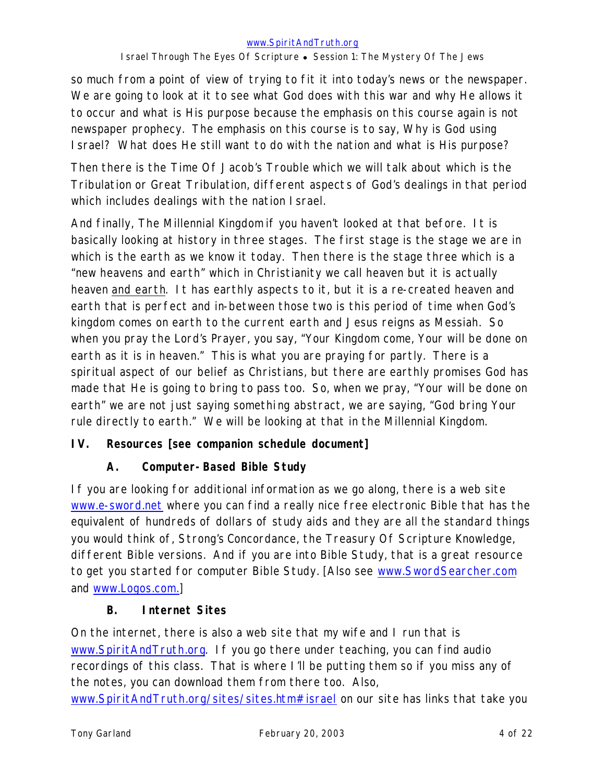so much from a point of view of trying to fit it into today's news or the newspaper. We are going to look at it to see what God does with this war and why He allows it to occur and what is His purpose because the emphasis on this course again is not newspaper prophecy. The emphasis on this course is to say, Why is God using Israel? What does He still want to do with the nation and what is His purpose?

Then there is the *Time Of Jacob's Trouble* which we will talk about which is the Tribulation or Great Tribulation, different aspects of God's dealings in that period which includes dealings with the nation Israel.

And finally, *The Millennial Kingdom* if you haven't looked at that before. It is basically looking at history in three stages. The first stage is the stage we are in which is the earth as we know it today. Then there is the stage three which is a "new heavens and earth" which in Christianity we call heaven but it is actually heaven and earth. It has earthly aspects to it, but it is a re-created heaven and earth that is perfect and in-between those two is this period of time when God's kingdom comes on earth to the current earth and Jesus reigns as Messiah. So when you pray the Lord's Prayer, you say, "Your Kingdom come, Your will be done on earth as it is in heaven." This is what you are praying for partly. There is a spiritual aspect of our belief as Christians, but there are earthly promises God has made that He is going to bring to pass too. So, when we pray, "Your will be done on earth" we are not just saying something abstract, we are saying, "God bring Your rule directly to earth." We will be looking at that in the Millennial Kingdom.

### **IV. Resources [see companion schedule document]**

### **A. Computer-Based Bible Study**

If you are looking for additional information as we go along, there is a web site www.e-sword.net where you can find a really nice free electronic Bible that has the equivalent of hundreds of dollars of study aids and they are all the standard things you would think of, Strong's Concordance, the Treasury Of Scripture Knowledge, different Bible versions. And if you are into Bible Study, that is a great resource to get you started for computer Bible Study. [Also see www.SwordSearcher.com and www.Logos.com.]

### **B. Internet Sites**

On the internet, there is also a web site that my wife and I run that is www.SpiritAndTruth.org. If you go there under teaching, you can find audio recordings of this class. That is where I'll be putting them so if you miss any of the notes, you can download them from there too. Also,

www.SpiritAndTruth.org/sites/sites.htm#israel on our site has links that take you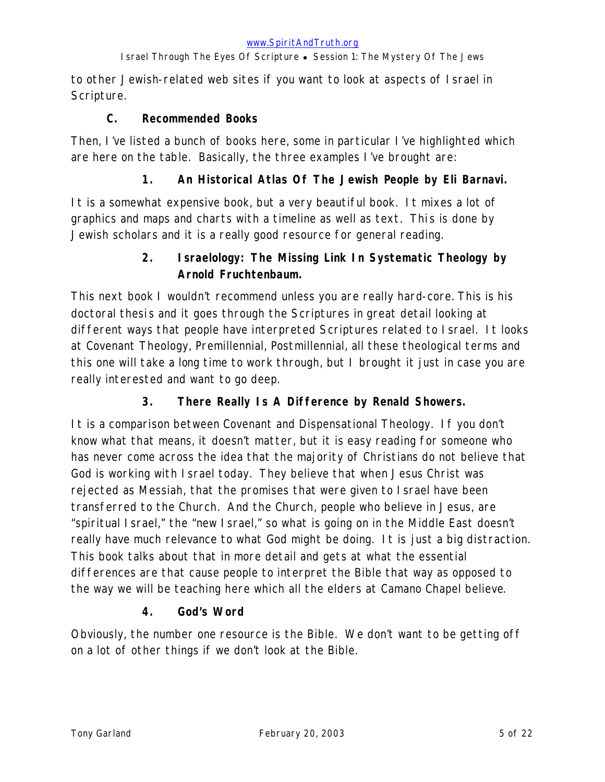to other Jewish-related web sites if you want to look at aspects of Israel in Scripture.

### **C. Recommended Books**

Then, I've listed a bunch of books here, some in particular I've highlighted which are here on the table. Basically, the three examples I've brought are:

### **1. An** *Historical Atlas Of The Jewish People* **by Eli Barnavi.**

It is a somewhat expensive book, but a very beautiful book. It mixes a lot of graphics and maps and charts with a timeline as well as text. This is done by Jewish scholars and it is a really good resource for general reading.

# **2.** *Israelology: The Missing Link In Systematic Theology* **by Arnold Fruchtenbaum.**

This next book I wouldn't recommend unless you are really hard-core. This is his doctoral thesis and it goes through the Scriptures in great detail looking at different ways that people have interpreted Scriptures related to Israel. It looks at Covenant Theology, Premillennial, Postmillennial, all these theological terms and this one will take a long time to work through, but I brought it just in case you are really interested and want to go deep.

# **3.** *There Really Is A Difference* **by Renald Showers.**

It is a comparison between Covenant and Dispensational Theology. If you don't know what that means, it doesn't matter, but it is easy reading for someone who has never come across the idea that the majority of Christians do not believe that God is working with Israel today. They believe that when Jesus Christ was rejected as Messiah, that the promises that were given to Israel have been transferred to the Church. And the Church, people who believe in Jesus, are "spiritual Israel," the "new Israel," so what is going on in the Middle East doesn't really have much relevance to what God might be doing. It is just a big distraction. This book talks about that in more detail and gets at what the essential differences are that cause people to interpret the Bible that way as opposed to the way we will be teaching here which all the elders at Camano Chapel believe.

### **4.** *God's Word*

Obviously, the number one resource is the Bible. We don't want to be getting off on a lot of other things if we don't look at the Bible.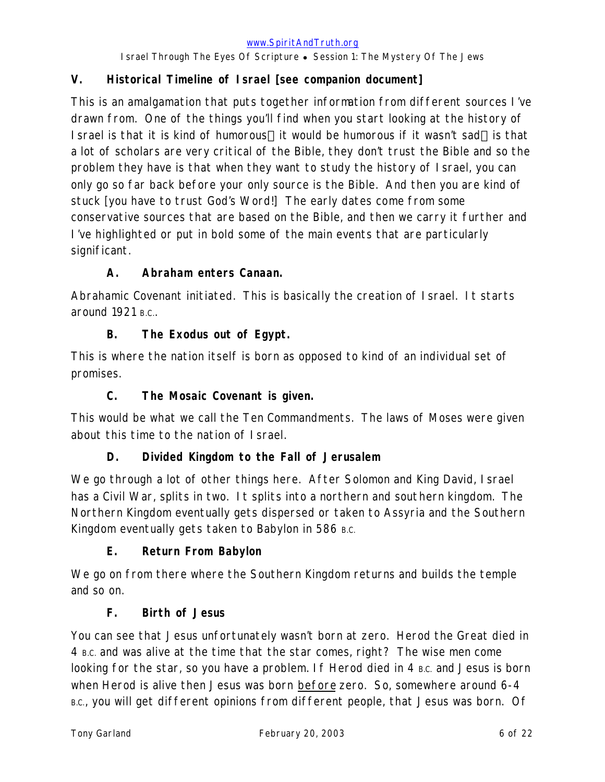# **V. Historical Timeline of Israel [see companion document]**

This is an amalgamation that puts together information from different sources I've drawn from. One of the things you'll find when you start looking at the history of I srael is that it is kind of humorous—it would be humorous if it wasn't sad—is that a lot of scholars are very critical of the Bible, they don't trust the Bible and so the problem they have is that when they want to study the history of Israel, you can only go so far back before your only source is the Bible. And then you are kind of stuck [you have to trust God's Word!] The early dates come from some conservative sources that are based on the Bible, and then we carry it further and I've highlighted or put in bold some of the main events that are particularly significant.

# **A. Abraham enters Canaan.**

Abrahamic Covenant initiated. This is basically the creation of Israel. It starts around  $1921$  B.C.

# **B. The Exodus out of Egypt.**

This is where the nation itself is born as opposed to kind of an individual set of promises.

# **C. The Mosaic Covenant is given.**

This would be what we call the Ten Commandments. The laws of Moses were given about this time to the nation of Israel.

# **D. Divided Kingdom to the Fall of Jerusalem**

We go through a lot of other things here. After Solomon and King David, Israel has a Civil War, splits in two. It splits into a northern and southern kingdom. The Northern Kingdom eventually gets dispersed or taken to Assyria and the Southern Kingdom eventually gets taken to Babylon in 586 B.C.

# **E. Return From Babylon**

We go on from there where the Southern Kingdom returns and builds the temple and so on.

# **F. Birth of Jesus**

You can see that Jesus unfortunately wasn't born at zero. Herod the Great died in 4 B.C. and was alive at the time that the star comes, right? The wise men come looking for the star, so you have a problem. If Herod died in 4 B.C. and Jesus is born when Herod is alive then Jesus was born before zero. So, somewhere around 6-4 B.C., you will get different opinions from different people, that Jesus was born. Of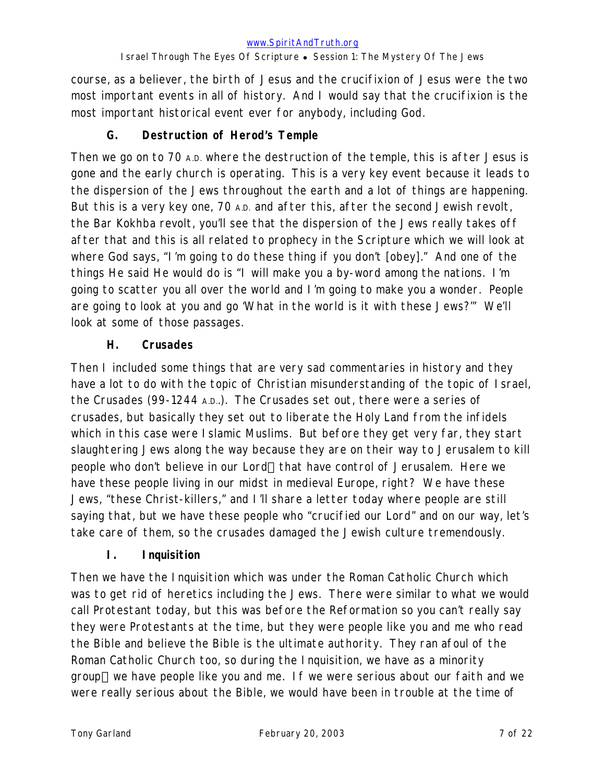course, as a believer, the birth of Jesus and the crucifixion of Jesus were the two most important events in all of history. And I would say that the crucifixion is the most important historical event ever for anybody, including God.

### **G. Destruction of Herod's Temple**

Then we go on to 70 A.D. where the destruction of the temple, this is after Jesus is gone and the early church is operating. This is a very key event because it leads to the dispersion of the Jews throughout the earth and a lot of things are happening. But this is a very key one, 70 A.D. and after this, after the second Jewish revolt, the Bar Kokhba revolt, you'll see that the dispersion of the Jews really takes off after that and this is all related to prophecy in the Scripture which we will look at where God says, "I'm going to do these thing if you don't [obey]." And one of the things He said He would do is "I will make you a by-word among the nations. I'm going to scatter you all over the world and I'm going to make you a wonder. People are going to look at you and go 'What in the world is it with these Jews?'" We'll look at some of those passages.

### **H. Crusades**

Then I included some things that are very sad commentaries in history and they have a lot to do with the topic of Christian misunderstanding of the topic of Israel, the Crusades (99-1244 A.D..). The Crusades set out, there were a series of crusades, but basically they set out to liberate the Holy Land from the infidels which in this case were Islamic Muslims. But before they get very far, they start slaughtering Jews along the way because they are on their way to Jerusalem to kill people who don't believe in our Lord—that have control of Jerusalem. Here we have these people living in our midst in medieval Europe, right? We have these Jews, "these Christ-killers," and I'll share a letter today where people are still saying that, but we have these people who "crucified our Lord" and on our way, let's take care of them, so the crusades damaged the Jewish culture tremendously.

### **I. Inquisition**

Then we have the Inquisition which was under the Roman Catholic Church which was to get rid of heretics including the Jews. There were similar to what we would call Protestant today, but this was before the Reformation so you can't really say they were Protestants at the time, but they were people like you and me who read the Bible and believe the Bible is the ultimate authority. They ran afoul of the Roman Catholic Church too, so during the Inquisition, we have as a minority group—we have people like you and me. If we were serious about our faith and we were really serious about the Bible, we would have been in trouble at the time of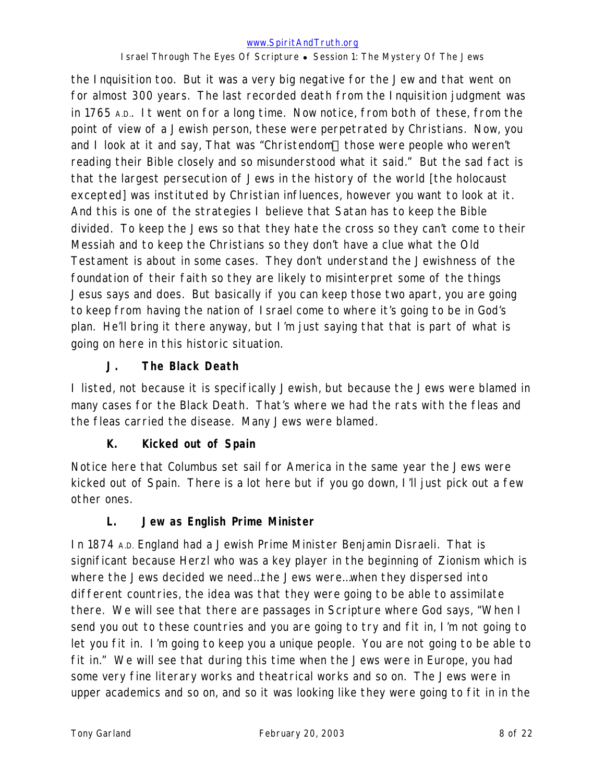the Inquisition too. But it was a very big negative for the Jew and that went on for almost 300 years. The last recorded death from the Inquisition judgment was in 1765 A.D.. It went on for a long time. Now notice, from both of these, from the point of view of a Jewish person, these were perpetrated by Christians. Now, you and I look at it and say, That was "Christendom—those were people who weren't reading their Bible closely and so misunderstood what it said." But the sad fact is that the largest persecution of Jews in the history of the world [the holocaust excepted] was instituted by Christian influences, however you want to look at it. And this is one of the strategies I believe that Satan has to keep the Bible divided. To keep the Jews so that they hate the cross so they can't come to their Messiah and to keep the Christians so they don't have a clue what the Old Testament is about in some cases. They don't understand the Jewishness of the foundation of their faith so they are likely to misinterpret some of the things Jesus says and does. But basically if you can keep those two apart, you are going to keep from having the nation of Israel come to where it's going to be in God's plan. He'll bring it there anyway, but I'm just saying that that is part of what is going on here in this historic situation.

# **J. The Black Death**

I listed, not because it is specifically Jewish, but because the Jews were blamed in many cases for the Black Death. That's where we had the rats with the fleas and the fleas carried the disease. Many Jews were blamed.

# **K. Kicked out of Spain**

Notice here that Columbus set sail for America in the same year the Jews were kicked out of Spain. There is a lot here but if you go down, I'll just pick out a few other ones.

# **L. Jew as English Prime Minister**

In 1874 A.D. England had a Jewish Prime Minister Benjamin Disraeli. That is significant because Herzl who was a key player in the beginning of Zionism which is where the Jews decided we need…the Jews were…when they dispersed into different countries, the idea was that they were going to be able to assimilate there. We will see that there are passages in Scripture where God says, "When I send you out to these countries and you are going to try and fit in, I'm not going to let you fit in. I'm going to keep you a unique people. You are not going to be able to fit in." We will see that during this time when the Jews were in Europe, you had some very fine literary works and theatrical works and so on. The Jews were in upper academics and so on, and so it was looking like they were going to fit in in the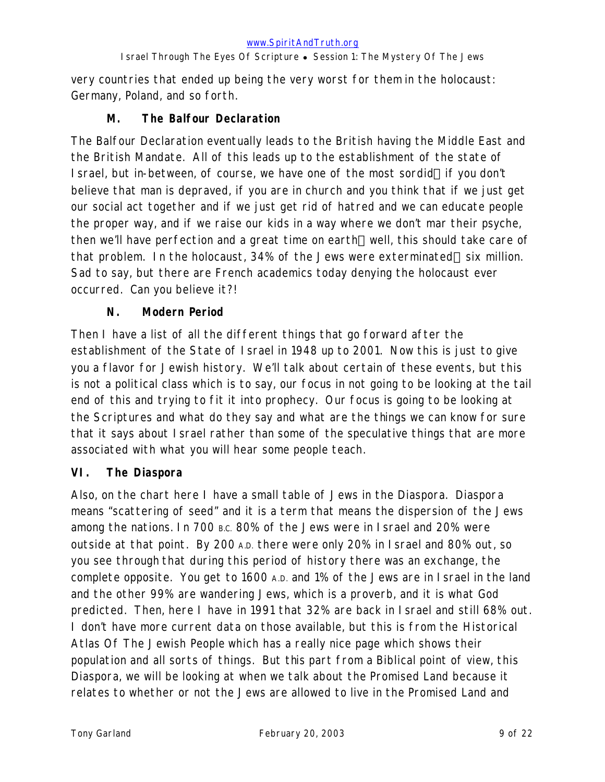very countries that ended up being the very worst for them in the holocaust: Germany, Poland, and so forth.

### **M. The Balfour Declaration**

The Balfour Declaration eventually leads to the British having the Middle East and the British Mandate. All of this leads up to the establishment of the state of I srael, but in-between, of course, we have one of the most sordid—if you don't believe that man is depraved, if you are in church and you think that if we just get our social act together and if we just get rid of hatred and we can educate people the proper way, and if we raise our kids in a way where we don't mar their psyche, then we'll have perfection and a great time on earth—well, this should take care of that problem. In the holocaust, 34% of the Jews were exterminated—six million. Sad to say, but there are French academics today denying the holocaust ever occurred. Can you believe it?!

### **N. Modern Period**

Then I have a list of all the different things that go forward after the establishment of the State of Israel in 1948 up to 2001. Now this is just to give you a flavor for Jewish history. We'll talk about certain of these events, but this is not a political class which is to say, our focus in not going to be looking at the tail end of this and trying to fit it into prophecy. Our focus is going to be looking at the Scriptures and what do they say and what are the things we can know for sure that it says about Israel rather than some of the speculative things that are more associated with what you will hear some people teach.

### **VI. The Diaspora**

Also, on the chart here I have a small table of Jews in the Diaspora. Diaspora means "scattering of seed" and it is a term that means the dispersion of the Jews among the nations. In 700 B.C. 80% of the Jews were in Israel and 20% were outside at that point. By 200 A.D. there were only 20% in Israel and 80% out, so you see through that during this period of history there was an exchange, the complete opposite. You get to 1600 A.D. and 1% of the Jews are in Israel in the land and the other 99% are wandering Jews, which is a proverb, and it is what God predicted. Then, here I have in 1991 that 32% are back in Israel and still 68% out. I don't have more current data on those available, but this is from the *Historical Atlas Of The Jewish People* which has a really nice page which shows their population and all sorts of things. But this part from a Biblical point of view, this Diaspora, we will be looking at when we talk about the Promised Land because it relates to whether or not the Jews are allowed to live in the Promised Land and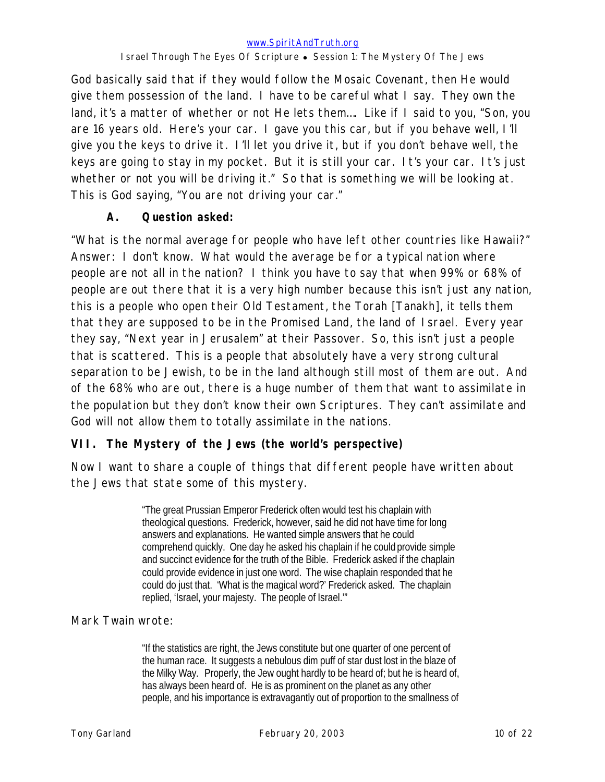God basically said that if they would follow the Mosaic Covenant, then He would give them possession of the land. I have to be careful what I say. They own the land, it's a matter of whether or not He lets them…. Like if I said to you, "Son, you are 16 years old. Here's your car. I gave you this car, but if you behave well, I'll give you the keys to drive it. I'll let you drive it, but if you don't behave well, the keys are going to stay in my pocket. But it is still your car. It's your car. It's just whether or not you will be driving it." So that is something we will be looking at. This is God saying, "You are not driving your car."

### **A. Question asked:**

"What is the normal average for people who have left other countries like Hawaii?" Answer: I don't know. What would the average be for a typical nation where people are not all in the nation? I think you have to say that when 99% or 68% of people are out there that it is a very high number because this isn't just any nation, this is a people who open their Old Testament, the Torah [Tanakh], it tells them that they are supposed to be in the Promised Land, the land of Israel. Every year they say, "Next year in Jerusalem" at their Passover. So, this isn't just a people that is scattered. This is a people that absolutely have a very strong cultural separation to be Jewish, to be in the land although still most of them are out. And of the 68% who are out, there is a huge number of them that want to assimilate in the population but they don't know their own Scriptures. They can't assimilate and God will not allow them to totally assimilate in the nations.

# **VII. The Mystery of the Jews (the world's perspective)**

Now I want to share a couple of things that different people have written about the Jews that state some of this mystery.

> "The great Prussian Emperor Frederick often would test his chaplain with theological questions. Frederick, however, said he did not have time for long answers and explanations. He wanted simple answers that he could comprehend quickly. One day he asked his chaplain if he could provide simple and succinct evidence for the truth of the Bible. Frederick asked if the chaplain could provide evidence in just one word. The wise chaplain responded that he could do just that. 'What is the magical word?' Frederick asked. The chaplain replied, 'Israel, your majesty. The people of Israel.'"

### Mark Twain wrote:

"If the statistics are right, the Jews constitute but one quarter of one percent of the human race. It suggests a nebulous dim puff of star dust lost in the blaze of the Milky Way. Properly, the Jew ought hardly to be heard of; but he is heard of, has always been heard of. He is as prominent on the planet as any other people, and his importance is extravagantly out of proportion to the smallness of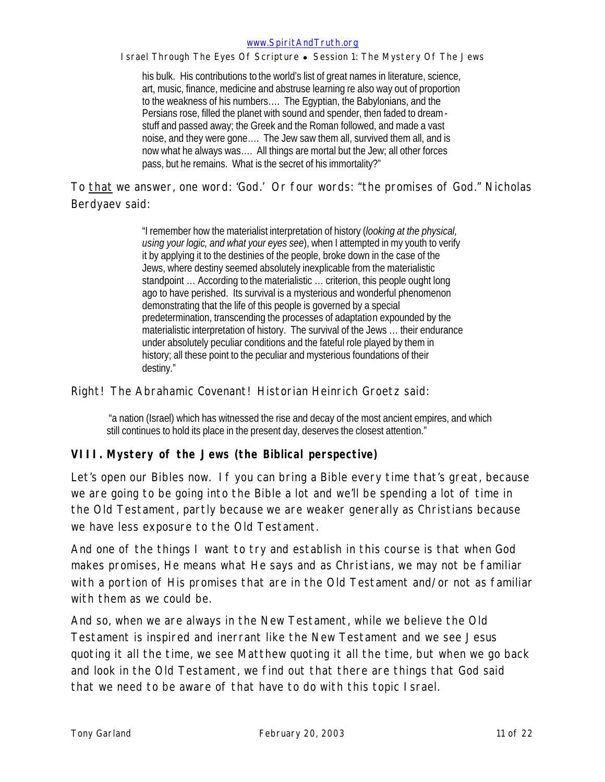#### *www.SpiritAndTruth.org*

*Israel Through The Eyes Of Scripture* • Session 1: The Mystery Of The Jews

his bulk. His contributions to the world's list of great names in literature, science, art, music, finance, medicine and abstruse learning re also way out of proportion to the weakness of his numbers…. The Egyptian, the Babylonians, and the Persians rose, filled the planet with sound and spender, then faded to dreamstuff and passed away; the Greek and the Roman followed, and made a vast noise, and they were gone…. The Jew saw them all, survived them all, and is now what he always was…. All things are mortal but the Jew; all other forces pass, but he remains. What is the secret of his immortality?"

To that we answer, one word: 'God.' Or four words: "the promises of God." Nicholas Berdyaev said:

> "I remember how the materialist interpretation of history (*looking at the physical, using your logic, and what your eyes see*), when I attempted in my youth to verify it by applying it to the destinies of the people, broke down in the case of the Jews, where destiny seemed absolutely inexplicable from the materialistic standpoint … According to the materialistic … criterion, this people ought long ago to have perished. Its survival is a mysterious and wonderful phenomenon demonstrating that the life of this people is governed by a special predetermination, transcending the processes of adaptation expounded by the materialistic interpretation of history. The survival of the Jews … their endurance under absolutely peculiar conditions and the fateful role played by them in history; all these point to the peculiar and mysterious foundations of their destiny."

#### Right! The Abrahamic Covenant! Historian Heinrich Groetz said:

 "a nation (Israel) which has witnessed the rise and decay of the most ancient empires, and which still continues to hold its place in the present day, deserves the closest attention."

#### **VIII. Mystery of the Jews (the Biblical perspective)**

Let's open our Bibles now. If you can bring a Bible every time that's great, because we are going to be going into the Bible a lot and we'll be spending a lot of time in the Old Testament, partly because we are weaker generally as Christians because we have less exposure to the Old Testament.

And one of the things I want to try and establish in this course is that when God makes promises, He means what He says and as Christians, we may not be familiar with a portion of His promises that are in the Old Testament and/or not as familiar with them as we could be.

And so, when we are always in the New Testament, while we believe the Old Testament is inspired and inerrant like the New Testament and we see Jesus quoting it all the time, we see Matthew quoting it all the time, but when we go back and look in the Old Testament, we find out that there are things that God said that we need to be aware of that have to do with this topic Israel.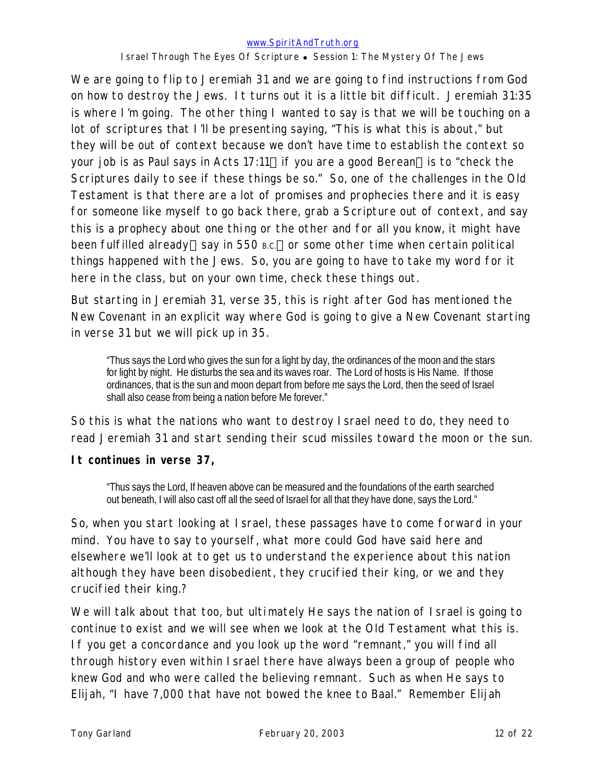#### *www.SpiritAndTruth.org*

*Israel Through The Eyes Of Scripture* • Session 1: The Mystery Of The Jews

We are going to flip to Jeremiah 31 and we are going to find instructions from God on how to destroy the Jews. It turns out it is a little bit difficult. Jeremiah 31:35 is where I'm going. The other thing I wanted to say is that we will be touching on a lot of scriptures that I'll be presenting saying, "This is what this is about," but they will be out of context because we don't have time to establish the context so your job is as Paul says in Acts 17:11-if you are a good Berean-is to "check the Scriptures daily to see if these things be so." So, one of the challenges in the Old Testament is that there are a lot of promises and prophecies there and it is easy for someone like myself to go back there, grab a Scripture out of context, and say this is a prophecy about one thing or the other and for all you know, it might have been fulfilled already—say in 550  $B.C.$ —or some other time when certain political things happened with the Jews. So, you are going to have to take my word for it here in the class, but on your own time, check these things out.

But starting in Jeremiah 31, verse 35, this is right after God has mentioned the New Covenant in an explicit way where God is going to give a New Covenant starting in verse 31 but we will pick up in 35.

"Thus says the Lord who gives the sun for a light by day, the ordinances of the moon and the stars for light by night. He disturbs the sea and its waves roar. The Lord of hosts is His Name. If those ordinances, that is the sun and moon depart from before me says the Lord, then the seed of Israel shall also cease from being a nation before Me forever."

So this is what the nations who want to destroy Israel need to do, they need to read Jeremiah 31 and start sending their scud missiles toward the moon or the sun.

### **It continues in verse 37,**

"Thus says the Lord, If heaven above can be measured and the foundations of the earth searched out beneath, I will also cast off all the seed of Israel for all that they have done, says the Lord."

So, when you start looking at Israel, these passages have to come forward in your mind. You have to say to yourself, what more could God have said here and elsewhere we'll look at to get us to understand the experience about this nation although they have been disobedient, they crucified their king, or we and they crucified their king.?

We will talk about that too, but ultimately He says the nation of I srael is going to continue to exist and we will see when we look at the Old Testament what this is. If you get a concordance and you look up the word "remnant," you will find all through history even within Israel there have always been a group of people who knew God and who were called the believing remnant. Such as when He says to Elijah, "I have 7,000 that have not bowed the knee to Baal." Remember Elijah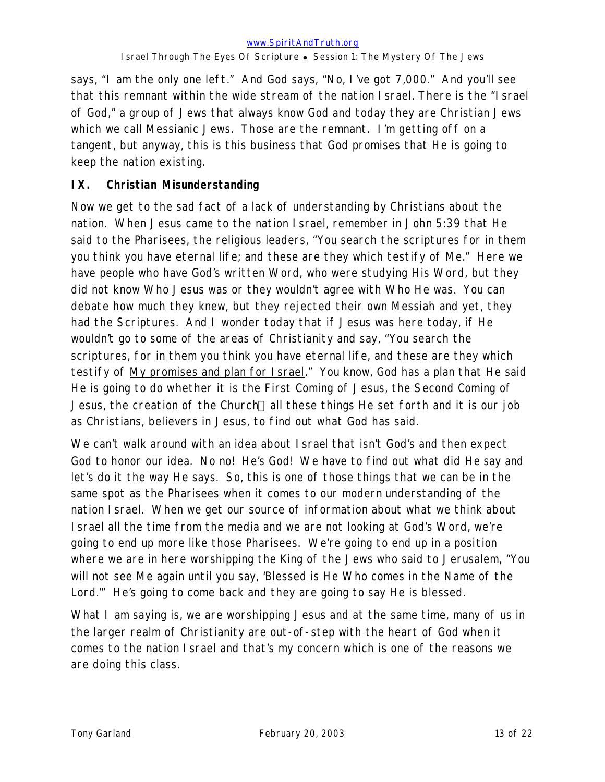says, "I am the only one left." And God says, "No, I've got 7,000." And you'll see that this remnant within the wide stream of the nation Israel. There is the "Israel of God," a group of Jews that always know God and today they are Christian Jews which we call Messianic Jews. Those are the remnant. I'm getting off on a tangent, but anyway, this is this business that God promises that He is going to keep the nation existing.

### **IX. Christian Misunderstanding**

Now we get to the sad fact of a lack of understanding by Christians about the nation. When Jesus came to the nation Israel, remember in John 5:39 that He said to the Pharisees, the religious leaders, "You search the scriptures for in them you think you have eternal life; and these are they which testify of Me." Here we have people who have God's written Word, who were studying His Word, but they did not know Who Jesus was or they wouldn't agree with Who He was. You can debate how much they knew, but they rejected their own Messiah and yet, they had the Scriptures. And I wonder today that if Jesus was here today, if He wouldn't go to some of the areas of Christianity and say, "You search the scriptures, for in them you think you have eternal life, and these are they which testify of My promises and plan for Israel." You know, God has a plan that He said He is going to do whether it is the First Coming of Jesus, the Second Coming of Jesus, the creation of the Church—all these things He set forth and it is our job as Christians, believers in Jesus, to find out what God has said.

We can't walk around with an idea about Israel that isn't God's and then expect God to honor our idea. No no! He's God! We have to find out what did He say and let's do it the way He says. So, this is one of those things that we can be in the same spot as the Pharisees when it comes to our modern understanding of the nation Israel. When we get our source of information about what we think about Israel all the time from the media and we are not looking at God's Word, we're going to end up more like those Pharisees. We're going to end up in a position where we are in here worshipping the King of the Jews who said to Jerusalem, "You will not see Me again until you say, 'Blessed is He Who comes in the Name of the Lord.'" He's going to come back and they are going to say He is blessed.

What I am saying is, we are worshipping Jesus and at the same time, many of us in the larger realm of Christianity are out-of-step with the heart of God when it comes to the nation Israel and that's my concern which is one of the reasons we are doing this class.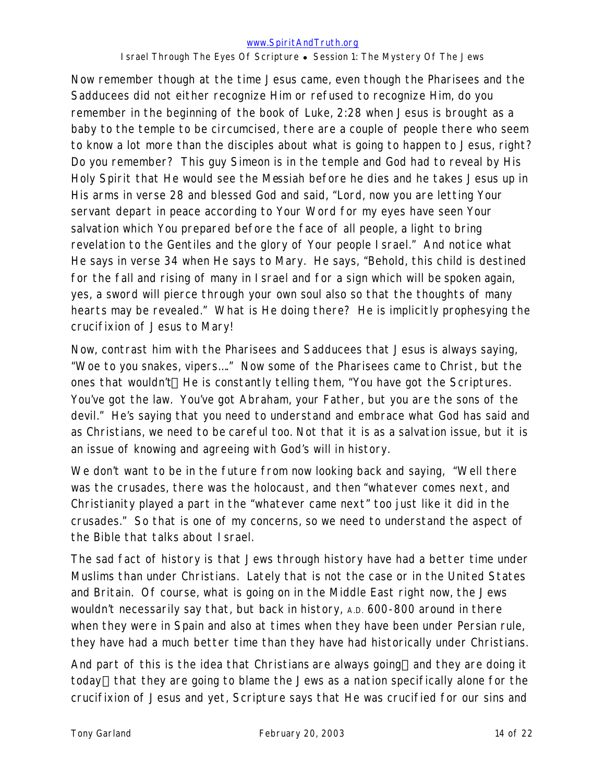#### *www.SpiritAndTruth.org*

#### *Israel Through The Eyes Of Scripture* • Session 1: The Mystery Of The Jews

Now remember though at the time Jesus came, even though the Pharisees and the Sadducees did not either recognize Him or refused to recognize Him, do you remember in the beginning of the book of Luke, 2:28 when Jesus is brought as a baby to the temple to be circumcised, there are a couple of people there who seem to know a lot more than the disciples about what is going to happen to Jesus, right? Do you remember? This guy Simeon is in the temple and God had to reveal by His Holy Spirit that He would see the Messiah before he dies and he takes Jesus up in His arms in verse 28 and blessed God and said, "Lord, now you are letting Your servant depart in peace according to Your Word for my eyes have seen Your salvation which You prepared before the face of all people, a light to bring revelation to the Gentiles and the glory of Your people Israel." And notice what He says in verse 34 when He says to Mary. He says, "Behold, this child is destined for the fall and rising of many in Israel and for a sign which will be spoken again, yes, a sword will pierce through your own soul also so that the thoughts of many hearts may be revealed." What is He doing there? He is implicitly prophesying the crucifixion of Jesus to Mary!

Now, contrast him with the Pharisees and Sadducees that Jesus is always saying, "Woe to you snakes, vipers…." Now some of the Pharisees came to Christ, but the ones that wouldn't—He is constantly telling them, "You have got the Scriptures. You've got the law. You've got Abraham, your Father, but you are the sons of the devil." He's saying that you need to understand and embrace what God has said and as Christians, we need to be careful too. Not that it is as a salvation issue, but it is an issue of knowing and agreeing with God's will in history.

We don't want to be in the future from now looking back and saying, "Well there was the crusades, there was the holocaust, and then "whatever comes next, and Christianity played a part in the "whatever came next" too just like it did in the crusades." So that is one of my concerns, so we need to understand the aspect of the Bible that talks about Israel.

The sad fact of history is that Jews through history have had a better time under Muslims than under Christians. Lately that is not the case or in the United States and Britain. Of course, what is going on in the Middle East right now, the Jews wouldn't necessarily say that, but back in history, A.D. 600-800 around in there when they were in Spain and also at times when they have been under Persian rule, they have had a much better time than they have had historically under Christians.

And part of this is the idea that Christians are always going—and they are doing it today—that they are going to blame the Jews as a *nation specifically alone* for the crucifixion of Jesus and yet, Scripture says that He was crucified for our sins and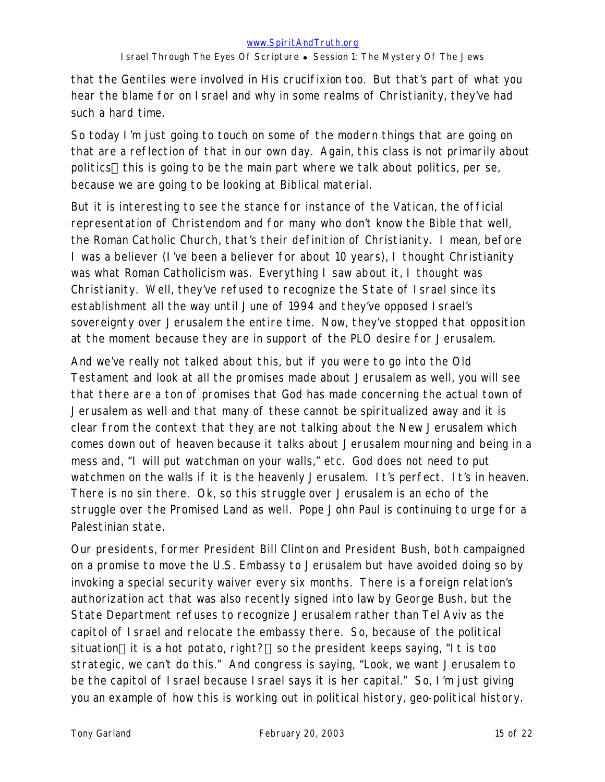that the Gentiles were involved in His crucifixion too. But that's part of what you hear the blame for on Israel and why in some realms of Christianity, they've had such a hard time.

So today I'm just going to touch on some of the modern things that are going on that are a reflection of that in our own day. Again, this class is not primarily about politics—this is going to be the main part where we talk about politics, per se, because we are going to be looking at Biblical material.

But it is interesting to see the stance for instance of the Vatican, the official representation of Christendom and for many who don't know the Bible that well, the Roman Catholic Church, that's their definition of Christianity. I mean, before I was a believer (I've been a believer for about 10 years), I thought Christianity was what Roman Catholicism was. Everything I saw about it, I thought was Christianity. Well, they've refused to recognize the State of Israel since its establishment all the way until June of 1994 and they've opposed Israel's sovereignty over Jerusalem the entire time. Now, they've stopped that opposition at the moment because they are in support of the PLO desire for Jerusalem.

And we've really not talked about this, but if you were to go into the Old Testament and look at all the promises made about Jerusalem as well, you will see that there are a ton of promises that God has made concerning the actual town of Jerusalem as well and that many of these cannot be spiritualized away and it is clear from the context that they are not talking about the New Jerusalem which comes down out of heaven because it talks about Jerusalem mourning and being in a mess and, "I will put watchman on your walls," etc. God does not need to put watchmen on the walls if it is the heavenly Jerusalem. It's perfect. It's in heaven. There is no sin there. Ok, so this struggle over Jerusalem is an echo of the struggle over the Promised Land as well. Pope John Paul is continuing to urge for a Palestinian state.

Our presidents, former President Bill Clinton and President Bush, both campaigned on a promise to move the U.S. Embassy to Jerusalem but have avoided doing so by invoking a special security waiver every six months. There is a foreign relation's authorization act that was also recently signed into law by George Bush, but the State Department refuses to recognize Jerusalem rather than Tel Aviv as the capitol of Israel and relocate the embassy there. So, because of the political situation-it is a hot potato, right?-so the president keeps saying, "It is too strategic, we can't do this." And congress is saying, "Look, we want Jerusalem to be the capitol of Israel because Israel says it is her capital." So, I'm just giving you an example of how this is working out in political history, geo-political history.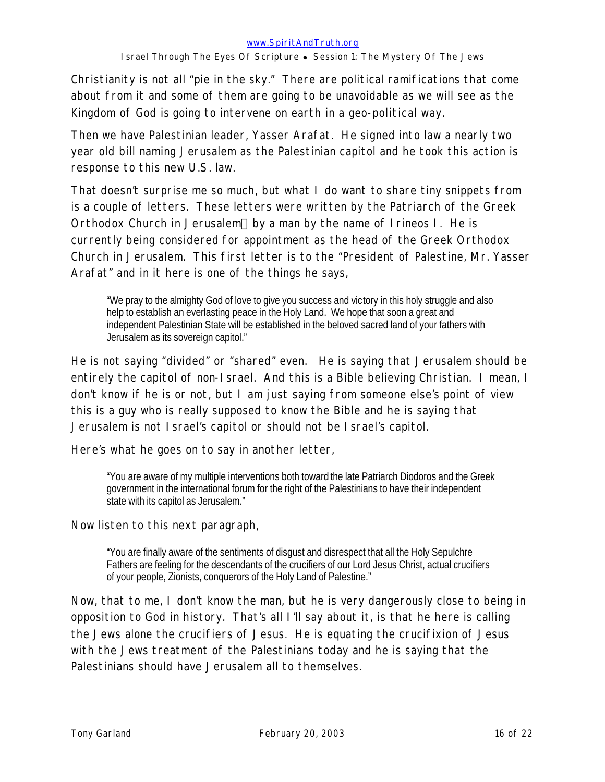Christianity is not all "pie in the sky." There are political ramifications that come about from it and some of them are going to be unavoidable as we will see as the Kingdom of God is going to intervene on earth in a geo-political way.

Then we have Palestinian leader, Yasser Arafat. He signed into law a nearly two year old bill naming Jerusalem as the Palestinian capitol and he took this action is response to this new U.S. law.

That doesn't surprise me so much, but what I do want to share tiny snippets from is a couple of letters. These letters were written by the Patriarch of the Greek Orthodox Church in Jerusalem—by a man by the name of Irineos I. He is currently being considered for appointment as the head of the Greek Orthodox Church in Jerusalem. This first letter is to the "President of Palestine, Mr. Yasser Arafat" and in it here is one of the things he says,

"We pray to the almighty God of love to give you success and victory in this holy struggle and also help to establish an everlasting peace in the Holy Land. We hope that soon a great and independent Palestinian State will be established in the beloved sacred land of your fathers with Jerusalem as its sovereign capitol."

He is not saying "divided" or "shared" even. He is saying that Jerusalem should be entirely the capitol of non-Israel. And this is a Bible believing Christian. I mean, I don't know if he is or not, but I am just saying from someone else's point of view this is a guy who is really supposed to know the Bible and he is saying that Jerusalem is not Israel's capitol or should not be Israel's capitol.

Here's what he goes on to say in another letter,

"You are aware of my multiple interventions both toward the late Patriarch Diodoros and the Greek government in the international forum for the right of the Palestinians to have their independent state with its capitol as Jerusalem."

Now listen to this next paragraph,

"You are finally aware of the sentiments of disgust and disrespect that all the Holy Sepulchre Fathers are feeling for the descendants of the crucifiers of our Lord Jesus Christ, actual crucifiers of your people, Zionists, conquerors of the Holy Land of Palestine."

Now, that to me, I don't know the man, but he is very dangerously close to being in opposition to God in history. That's all I'll say about it, is that he here is calling the Jews *alone* the crucifiers of Jesus. He is equating the crucifixion of Jesus with the Jews treatment of the Palestinians today and he is saying that the Palestinians should have Jerusalem all to themselves.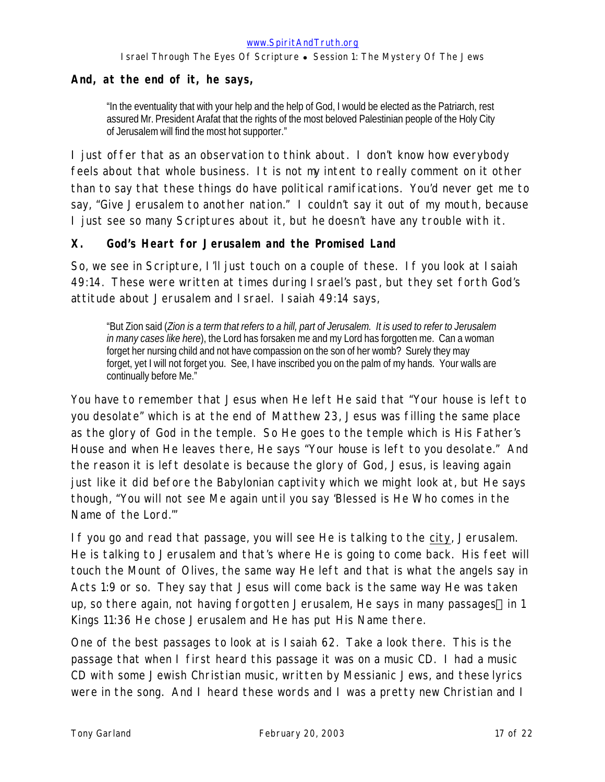#### **And, at the end of it, he says,**

"In the eventuality that with your help and the help of God, I would be elected as the Patriarch, rest assured Mr. President Arafat that the rights of the most beloved Palestinian people of the Holy City of Jerusalem will find the most hot supporter."

I just offer that as an observation to think about. I don't know how everybody feels about that whole business. It is not my intent to really comment on it other than to say that these things do have political ramifications. You'd never get me to say, "Give Jerusalem to another nation." I couldn't say it out of my mouth, because I just see so many Scriptures about it, but he doesn't have any trouble with it.

#### **X. God's Heart for Jerusalem and the Promised Land**

So, we see in Scripture, I'll just touch on a couple of these. If you look at Isaiah 49:14. These were written at times during Israel's past, but they set forth God's attitude about Jerusalem and Israel. Isaiah 49:14 says,

"But Zion said (*Zion is a term that refers to a hill, part of Jerusalem. It is used to refer to Jerusalem in many cases like here*), the Lord has forsaken me and my Lord has forgotten me. Can a woman forget her nursing child and not have compassion on the son of her womb? Surely they may forget, yet I will not forget you. See, I have inscribed you on the palm of my hands. Your walls are continually before Me."

You have to remember that Jesus when He left He said that "Your house is left to you desolate" which is at the end of Matthew 23, Jesus was filling the same place as the glory of God in the temple. So He goes to the temple which is His Father's House and when He leaves there, He says "Your house is left to you desolate." And the reason it is left desolate is because the glory of God, Jesus, is leaving again just like it did before the Babylonian captivity which we might look at, but He says though, "You will not see Me again until you say 'Blessed is He Who comes in the Name of the Lord.'"

If you go and read that passage, you will see He is talking to the city, Jerusalem. He is talking to Jerusalem and that's where He is going to come back. His feet will touch the Mount of Olives, the same way He left and that is what the angels say in Acts 1:9 or so. They say that Jesus will come back is the same way He was taken up, so there again, not having forgotten Jerusalem, He says in many passages—in 1 Kings 11:36 He chose Jerusalem and He has put His Name there.

One of the best passages to look at is Isaiah 62. Take a look there. This is the passage that when I first heard this passage it was on a music CD. I had a music CD with some Jewish Christian music, written by Messianic Jews, and these lyrics were in the song. And I heard these words and I was a pretty new Christian and I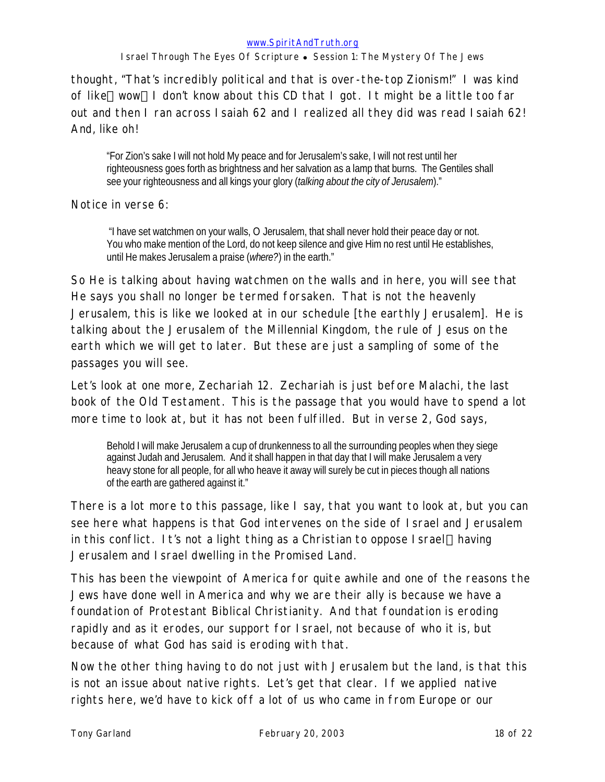thought, "That's incredibly political and that is over-the-top Zionism!" I was kind of like—wow—I don't know about this CD that I got. It might be a little too far out and then I ran across Isaiah 62 and I realized all they did was read Isaiah 62! And, like oh!

"For Zion's sake I will not hold My peace and for Jerusalem's sake, I will not rest until her righteousness goes forth as brightness and her salvation as a lamp that burns. The Gentiles shall see your righteousness and all kings your glory (*talking about the city of Jerusalem*)."

Notice in verse 6:

 "I have set watchmen on your walls, O Jerusalem, that shall never hold their peace day or not. You who make mention of the Lord, do not keep silence and give Him no rest until He establishes, until He makes Jerusalem a praise (*where?*) in the earth."

So He is talking about having watchmen on the walls and in here, you will see that He says you shall no longer be termed forsaken. That is not the heavenly Jerusalem, this is like we looked at in our schedule [the earthly Jerusalem]. He is talking about the Jerusalem of the Millennial Kingdom, the rule of Jesus on the earth which we will get to later. But these are just a sampling of some of the passages you will see.

Let's look at one more, Zechariah 12. Zechariah is just before Malachi, the last book of the Old Testament. This is the passage that you would have to spend a lot more time to look at, but it has not been fulfilled. But in verse 2, God says,

Behold I will make Jerusalem a cup of drunkenness to all the surrounding peoples when they siege against Judah and Jerusalem. And it shall happen in that day that I will make Jerusalem a very heavy stone for all people, for all who heave it away will surely be cut in pieces though all nations of the earth are gathered against it."

There is a lot more to this passage, like I say, that you want to look at, but you can see here what happens is that God intervenes on the side of Israel and Jerusalem in this conflict. It's not a light thing as a Christian to oppose I srael—having Jerusalem and Israel dwelling in the Promised Land.

This has been the viewpoint of America for quite awhile and one of the reasons the Jews have done well in America and why we are their ally is because we have a foundation of Protestant Biblical Christianity. And that foundation is eroding rapidly and as it erodes, our support for Israel, not because of who it is, but because of what God has said is eroding with that.

Now the other thing having to do not just with Jerusalem but the land, is that this is not an issue about native rights. Let's get that clear. If we applied native rights here, we'd have to kick off a lot of us who came in from Europe or our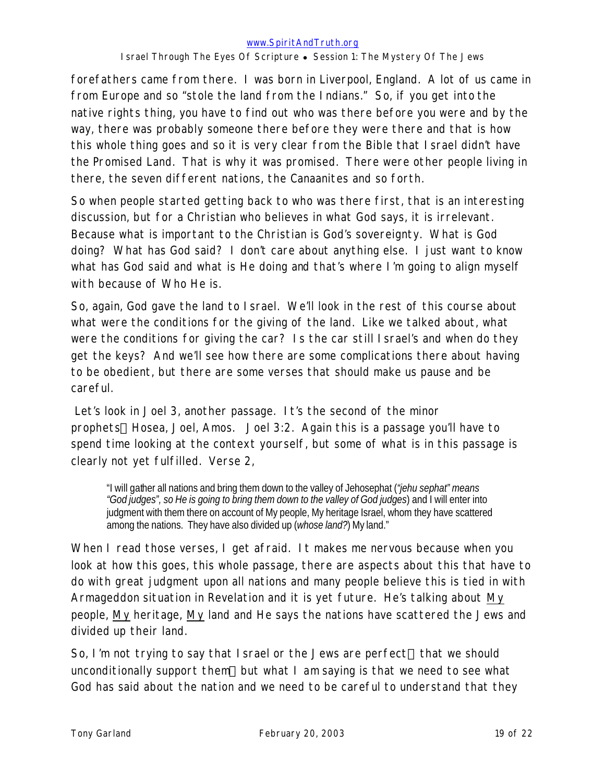forefathers came from there. I was born in Liverpool, England. A lot of us came in from Europe and so "stole the land from the Indians." So, if you get into the native rights thing, you have to find out who was there before you were and by the way, there was probably someone there before they were there and that is how this whole thing goes and so it is very clear from the Bible that Israel didn't have the Promised Land. That is why it was promised. There were other people living in there, the seven different nations, the Canaanites and so forth.

So when people started getting back to who was there first, that is an interesting discussion, but for a Christian who believes in what God says, it is irrelevant. Because what is important to the Christian is God's sovereignty. What is God doing? What has God said? I don't care about anything else. I just want to know what has God said and what is He doing and that's where I'm going to align myself with because of Who He is.

So, again, God gave the land to Israel. We'll look in the rest of this course about what were the conditions for the giving of the land. Like we talked about, what were the conditions for giving the car? Is the car still Israel's and when do they get the keys? And we'll see how there are some complications there about having to be obedient, but there are some verses that should make us pause and be careful.

Let's look in Joel 3, another passage. It's the second of the minor prophets—Hosea, Joel, Amos. Joel 3:2. Again this is a passage you'll have to spend time looking at the context yourself, but some of what is in this passage is clearly not yet fulfilled. Verse 2,

"I will gather all nations and bring them down to the valley of Jehosephat (*"jehu sephat" means "God judges", so He is going to bring them down to the valley of God judges*) and I will enter into judgment with them there on account of My people, My heritage Israel, whom they have scattered among the nations. They have also divided up (*whose land?*) My land."

When I read those verses, I get afraid. It makes me nervous because when you look at how this goes, this whole passage, there are aspects about this that have to do with great judgment upon all nations and many people believe this is tied in with Armageddon situation in Revelation and it is yet future. He's talking about My people, My heritage, My land and He says the nations have scattered the Jews and divided up their land.

So, I'm not trying to say that I srael or the Jews are perfect—that we should unconditionally support them—but what I *am* saying is that we need to see what God has said about the nation and we need to be careful to understand that they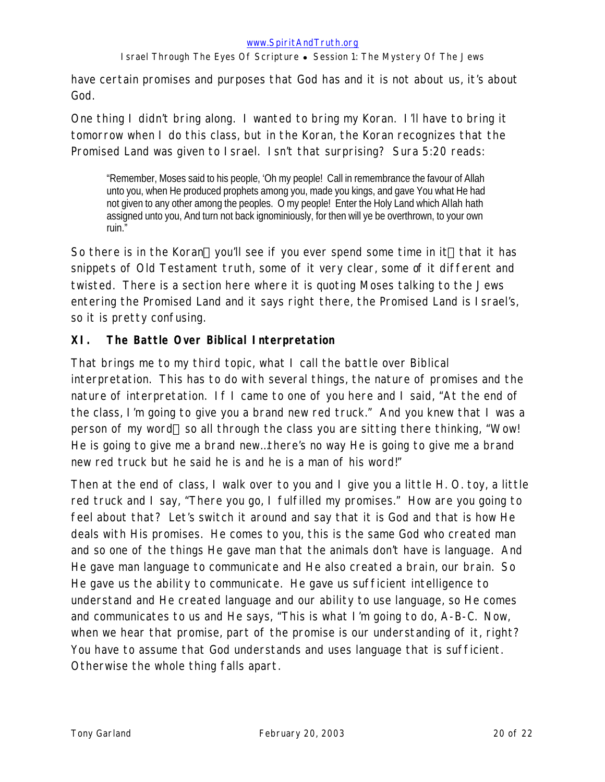have certain promises and purposes that God has and it is not about us, it's about God.

One thing I didn't bring along. I wanted to bring my Koran. I'll have to bring it tomorrow when I do this class, but in the Koran, the Koran recognizes that the Promised Land was given to Israel. Isn't that surprising? Sura 5:20 reads:

"Remember, Moses said to his people, 'Oh my people! Call in remembrance the favour of Allah unto you, when He produced prophets among you, made you kings, and gave You what He had not given to any other among the peoples. O my people! Enter the Holy Land which Allah hath assigned unto you, And turn not back ignominiously, for then will ye be overthrown, to your own ruin."

So there is in the Koran—you'll see if you ever spend some time in it—that it has snippets of Old Testament truth, some of it very clear, some of it different and twisted. There is a section here where it is quoting Moses talking to the Jews entering the Promised Land and it says right there, the Promised Land is Israel's, so it is pretty confusing.

### **XI. The Battle Over Biblical Interpretation**

That brings me to my third topic, what I call the battle over Biblical interpretation. This has to do with several things, the nature of promises and the nature of interpretation. If I came to one of you here and I said, "At the end of the class, I'm going to give you a brand new red truck." And you knew that I was a person of my word—so all through the class you are sitting there thinking, "Wow! He is going to give me a brand new…there's no way He is going to give me a brand new red truck but he said he is and he is a man of his word!"

Then at the end of class, I walk over to you and I give you a little H. O. toy, a little red truck and I say, "There you go, I fulfilled my promises." How are you going to feel about that? Let's switch it around and say that it is God and that is how He deals with His promises. He comes to you, this is the same God who created man and so one of the things He gave man that the animals don't have is language. And He gave man language to communicate and He also created a brain, our brain. So He gave us the ability to communicate. He gave us sufficient intelligence to understand and He created language and our ability to use language, so He comes and communicates to us and He says, "This is what I'm going to do, A-B-C. Now, when we hear that promise, part of the promise is our understanding of it, right? You have to assume that God understands and uses language that is sufficient. Otherwise the whole thing falls apart.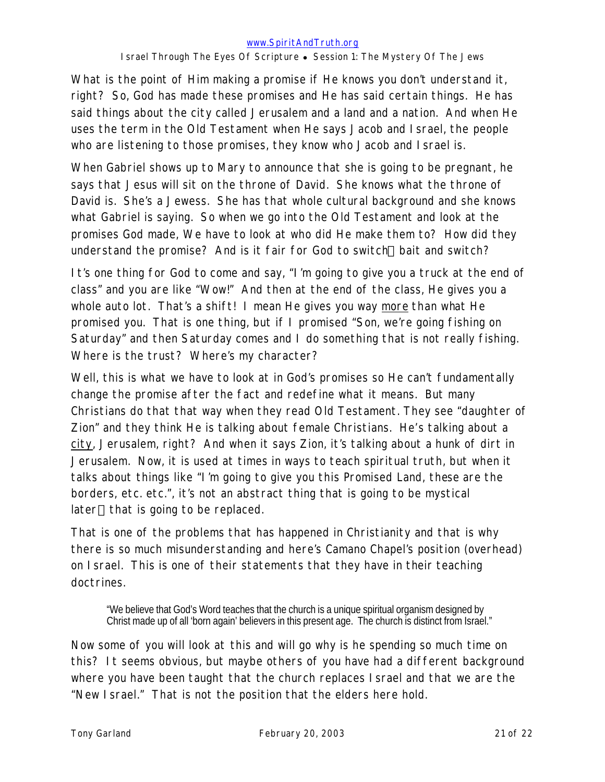What is the point of Him making a promise if He knows you don't understand it, right? So, God has made these promises and He has said certain things. He has said things about the city called Jerusalem and a land and a nation. And when He uses the term in the Old Testament when He says Jacob and Israel, the people who are listening to those promises, they know who Jacob and Israel is.

When Gabriel shows up to Mary to announce that she is going to be pregnant, he says that Jesus will sit on the throne of David. She knows what the throne of David is. She's a Jewess. She has that whole cultural background and she knows what Gabriel is saying. So when we go into the Old Testament and look at the promises God made, We have to look at who did He make them to? How did they understand the promise? And is it fair for God to switch—bait and switch?

It's one thing for God to come and say, "I'm going to give you a truck at the end of class" and you are like "Wow!" And then at the end of the class, He gives you a whole auto lot. That's a shift! I mean He gives you way more than what He promised you. That is one thing, but if I promised "Son, we're going fishing on Saturday" and then Saturday comes and I do something that is not really fishing. Where is the trust? Where's my character?

Well, this is what we have to look at in God's promises so He can't fundamentally change the promise after the fact and redefine what it means. But many Christians do that that way when they read Old Testament. They see "daughter of Zion" and they think He is talking about female Christians. He's talking about a city, Jerusalem, right? And when it says Zion, it's talking about a hunk of dirt in Jerusalem. Now, it is used at times in ways to teach spiritual truth, but when it talks about things like "I'm going to give you this Promised Land, these are the borders, etc. etc.", it's not an abstract thing that is going to be mystical later—that is going to be replaced.

That is one of the problems that has happened in Christianity and that is why there is so much misunderstanding and here's Camano Chapel's position (overhead) on Israel. This is one of their statements that they have in their teaching doctrines.

"We believe that God's Word teaches that the church is a unique spiritual organism designed by Christ made up of all 'born again' believers in this present age. The church is distinct from Israel."

Now some of you will look at this and will go why is he spending so much time on this? It seems obvious, but maybe others of you have had a different background where you have been taught that the church replaces Israel and that we are the "New Israel." That is not the position that the elders here hold.